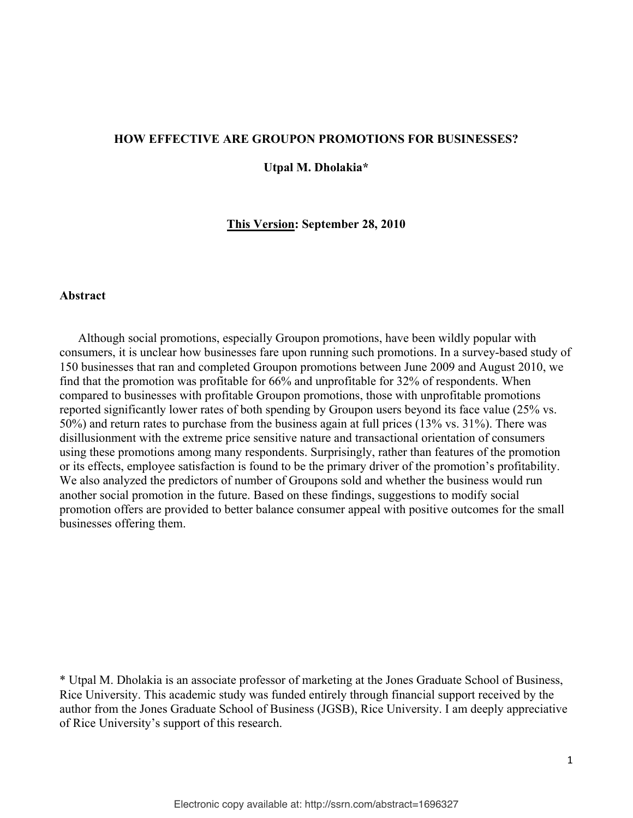# **HOW EFFECTIVE ARE GROUPON PROMOTIONS FOR BUSINESSES?**

## **Utpal M. Dholakia\***

# **This Version: September 28, 2010**

#### **Abstract**

Although social promotions, especially Groupon promotions, have been wildly popular with consumers, it is unclear how businesses fare upon running such promotions. In a survey-based study of 150 businesses that ran and completed Groupon promotions between June 2009 and August 2010, we find that the promotion was profitable for 66% and unprofitable for 32% of respondents. When compared to businesses with profitable Groupon promotions, those with unprofitable promotions reported significantly lower rates of both spending by Groupon users beyond its face value (25% vs. 50%) and return rates to purchase from the business again at full prices (13% vs. 31%). There was disillusionment with the extreme price sensitive nature and transactional orientation of consumers using these promotions among many respondents. Surprisingly, rather than features of the promotion or its effects, employee satisfaction is found to be the primary driver of the promotion's profitability. We also analyzed the predictors of number of Groupons sold and whether the business would run another social promotion in the future. Based on these findings, suggestions to modify social promotion offers are provided to better balance consumer appeal with positive outcomes for the small businesses offering them.

\* Utpal M. Dholakia is an associate professor of marketing at the Jones Graduate School of Business, Rice University. This academic study was funded entirely through financial support received by the author from the Jones Graduate School of Business (JGSB), Rice University. I am deeply appreciative of Rice University's support of this research.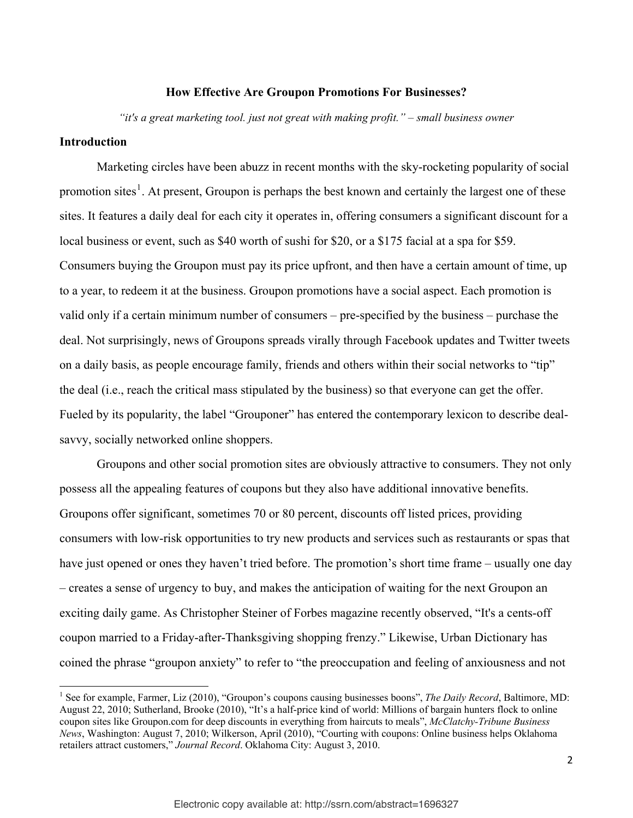### **How Effective Are Groupon Promotions For Businesses?**

*"it's a great marketing tool. just not great with making profit." – small business owner* 

# **Introduction**

Marketing circles have been abuzz in recent months with the sky-rocketing popularity of social promotion sites<sup>[1](#page-1-0)</sup>. At present, Groupon is perhaps the best known and certainly the largest one of these sites. It features a daily deal for each city it operates in, offering consumers a significant discount for a local business or event, such as \$40 worth of sushi for \$20, or a \$175 facial at a spa for \$59. Consumers buying the Groupon must pay its price upfront, and then have a certain amount of time, up to a year, to redeem it at the business. Groupon promotions have a social aspect. Each promotion is valid only if a certain minimum number of consumers – pre-specified by the business – purchase the deal. Not surprisingly, news of Groupons spreads virally through Facebook updates and Twitter tweets on a daily basis, as people encourage family, friends and others within their social networks to "tip" the deal (i.e., reach the critical mass stipulated by the business) so that everyone can get the offer. Fueled by its popularity, the label "Grouponer" has entered the contemporary lexicon to describe dealsavvy, socially networked online shoppers.

Groupons and other social promotion sites are obviously attractive to consumers. They not only possess all the appealing features of coupons but they also have additional innovative benefits. Groupons offer significant, sometimes 70 or 80 percent, discounts off listed prices, providing consumers with low-risk opportunities to try new products and services such as restaurants or spas that have just opened or ones they haven't tried before. The promotion's short time frame – usually one day – creates a sense of urgency to buy, and makes the anticipation of waiting for the next Groupon an exciting daily game. As Christopher Steiner of Forbes magazine recently observed, "It's a cents-off coupon married to a Friday-after-Thanksgiving shopping frenzy." Likewise, Urban Dictionary has coined the phrase "groupon anxiety" to refer to "the preoccupation and feeling of anxiousness and not

<span id="page-1-0"></span><sup>&</sup>lt;sup>1</sup> See for example, Farmer, Liz (2010), "Groupon's coupons causing businesses boons", *The Daily Record*, Baltimore, MD: August 22, 2010; Sutherland, Brooke (2010), "It's a half-price kind of world: Millions of bargain hunters flock to online coupon sites like Groupon.com for deep discounts in everything from haircuts to meals", *McClatchy-Tribune Business News*, Washington: August 7, 2010; Wilkerson, April (2010), "Courting with coupons: Online business helps Oklahoma retailers attract customers," *Journal Record*. Oklahoma City: August 3, 2010.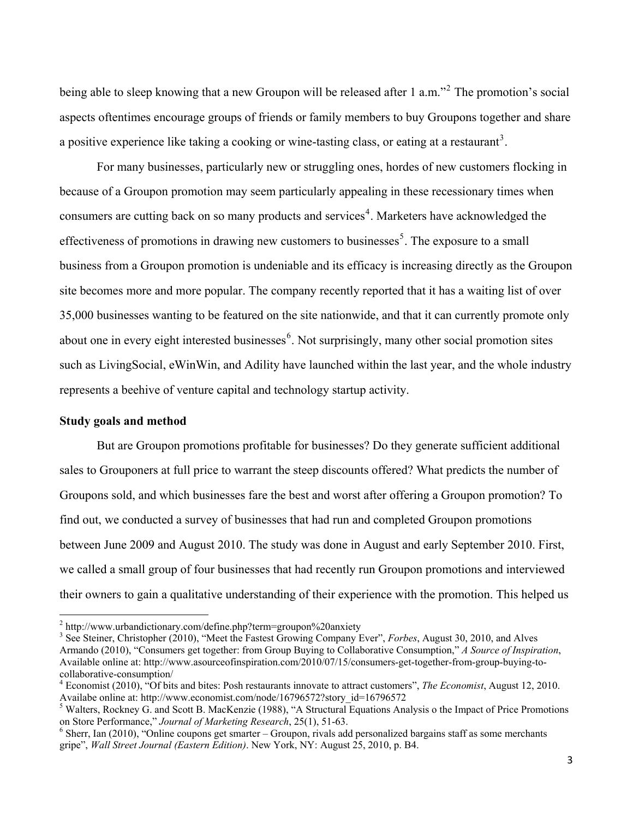being able to sleep knowing that a new Groupon will be released after 1 a.m."<sup>[2](#page-2-0)</sup> The promotion's social aspects oftentimes encourage groups of friends or family members to buy Groupons together and share a positive experience like taking a cooking or wine-tasting class, or eating at a restaurant<sup>[3](#page-2-1)</sup>.

For many businesses, particularly new or struggling ones, hordes of new customers flocking in because of a Groupon promotion may seem particularly appealing in these recessionary times when consumers are cutting back on so many products and services<sup>[4](#page-2-2)</sup>. Marketers have acknowledged the effectiveness of promotions in drawing new customers to businesses<sup>[5](#page-2-3)</sup>. The exposure to a small business from a Groupon promotion is undeniable and its efficacy is increasing directly as the Groupon site becomes more and more popular. The company recently reported that it has a waiting list of over 35,000 businesses wanting to be featured on the site nationwide, and that it can currently promote only about one in every eight interested businesses<sup>[6](#page-2-4)</sup>. Not surprisingly, many other social promotion sites such as LivingSocial, eWinWin, and Adility have launched within the last year, and the whole industry represents a beehive of venture capital and technology startup activity.

# **Study goals and method**

But are Groupon promotions profitable for businesses? Do they generate sufficient additional sales to Grouponers at full price to warrant the steep discounts offered? What predicts the number of Groupons sold, and which businesses fare the best and worst after offering a Groupon promotion? To find out, we conducted a survey of businesses that had run and completed Groupon promotions between June 2009 and August 2010. The study was done in August and early September 2010. First, we called a small group of four businesses that had recently run Groupon promotions and interviewed their owners to gain a qualitative understanding of their experience with the promotion. This helped us

<sup>&</sup>lt;sup>2</sup> http://www.urbandictionary.com/define.php?term=groupon%20anxiety <sup>3</sup> See Steiner, Christopher (2010). "Meet the Festest Groups Company F

<span id="page-2-1"></span><span id="page-2-0"></span><sup>&</sup>lt;sup>3</sup> See Steiner, Christopher (2010), "Meet the Fastest Growing Company Ever", *Forbes*, August 30, 2010, and Alves Armando (2010), "Consumers get together: from Group Buying to Collaborative Consumption," *A Source of Inspiration*, Available online at: http://www.asourceofinspiration.com/2010/07/15/consumers-get-together-from-group-buying-tocollaborative-consumption/

<span id="page-2-2"></span><sup>4</sup> Economist (2010), "Of bits and bites: Posh restaurants innovate to attract customers", *The Economist*, August 12, 2010. Availabe online at: http://www.economist.com/node/16796572?story\_id=16796572

<span id="page-2-3"></span> $5$  Walters, Rockney G. and Scott B. MacKenzie (1988), "A Structural Equations Analysis o the Impact of Price Promotions on Store Performance," *Journal of Marketing Research*, 25(1), 51-63.

<span id="page-2-4"></span> $6$  Sherr, Ian (2010), "Online coupons get smarter – Groupon, rivals add personalized bargains staff as some merchants gripe", *Wall Street Journal (Eastern Edition)*. New York, NY: August 25, 2010, p. B4.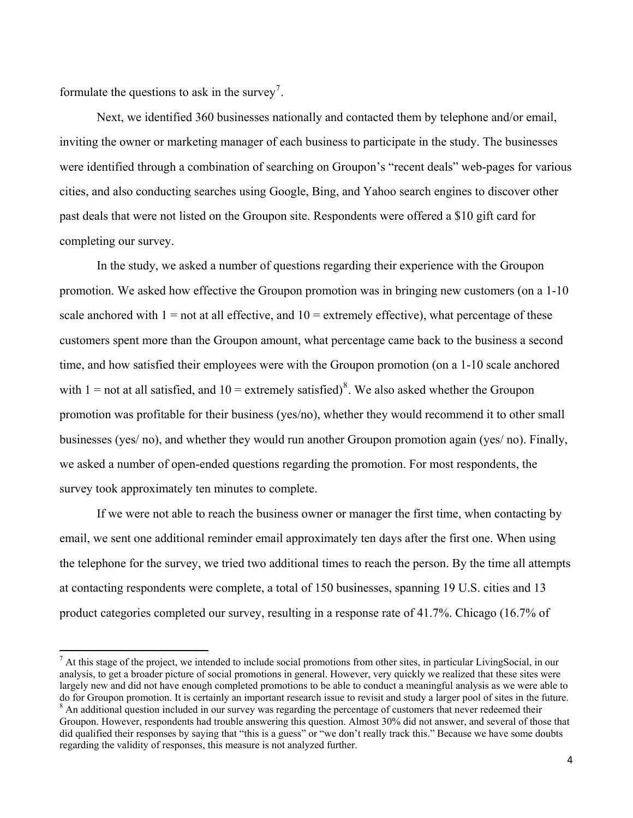formulate the questions to ask in the survey<sup>[7](#page-3-0)</sup>.

Next, we identified 360 businesses nationally and contacted them by telephone and/or email, inviting the owner or marketing manager of each business to participate in the study. The businesses were identified through a combination of searching on Groupon's "recent deals" web-pages for various cities, and also conducting searches using Google, Bing, and Yahoo search engines to discover other past deals that were not listed on the Groupon site. Respondents were offered a \$10 gift card for completing our survey.

In the study, we asked a number of questions regarding their experience with the Groupon promotion. We asked how effective the Groupon promotion was in bringing new customers (on a 1-10 scale anchored with  $1 =$  not at all effective, and  $10 =$  extremely effective), what percentage of these customers spent more than the Groupon amount, what percentage came back to the business a second time, and how satisfied their employees were with the Groupon promotion (on a 1-10 scale anchored with  $1 =$  not at all satisfied, and  $10 =$  extremely satisfied)<sup>[8](#page-3-1)</sup>. We also asked whether the Groupon promotion was profitable for their business (yes/no), whether they would recommend it to other small businesses (yes/ no), and whether they would run another Groupon promotion again (yes/ no). Finally, we asked a number of open-ended questions regarding the promotion. For most respondents, the survey took approximately ten minutes to complete.

If we were not able to reach the business owner or manager the first time, when contacting by email, we sent one additional reminder email approximately ten days after the first one. When using the telephone for the survey, we tried two additional times to reach the person. By the time all attempts at contacting respondents were complete, a total of 150 businesses, spanning 19 U.S. cities and 13 product categories completed our survey, resulting in a response rate of 41.7%. Chicago (16.7% of

<span id="page-3-0"></span><sup>&</sup>lt;sup>7</sup> At this stage of the project, we intended to include social promotions from other sites, in particular LivingSocial, in our analysis, to get a broader picture of social promotions in general. However, very quickly we realized that these sites were largely new and did not have enough completed promotions to be able to conduct a meaningful analysis as we were able to do for Groupon promotion. It is certainly an important research issue to revisit and study a larger pool of sites in the future. 8  $8$  An additional question included in our survey was regarding the percentage of customers that never redeemed their Groupon. However, respondents had trouble answering this question. Almost 30% did not answer, and several of those that

<span id="page-3-1"></span>did qualified their responses by saying that "this is a guess" or "we don't really track this." Because we have some doubts regarding the validity of responses, this measure is not analyzed further.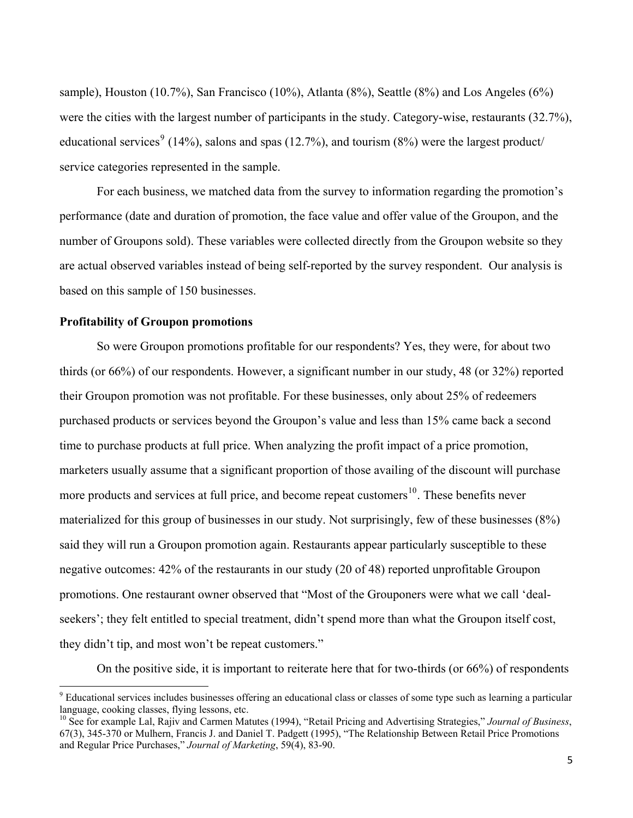sample), Houston (10.7%), San Francisco (10%), Atlanta (8%), Seattle (8%) and Los Angeles (6%) were the cities with the largest number of participants in the study. Category-wise, restaurants (32.7%), educational services<sup>[9](#page-4-0)</sup> (14%), salons and spas (12.7%), and tourism (8%) were the largest product/ service categories represented in the sample.

For each business, we matched data from the survey to information regarding the promotion's performance (date and duration of promotion, the face value and offer value of the Groupon, and the number of Groupons sold). These variables were collected directly from the Groupon website so they are actual observed variables instead of being self-reported by the survey respondent. Our analysis is based on this sample of 150 businesses.

## **Profitability of Groupon promotions**

So were Groupon promotions profitable for our respondents? Yes, they were, for about two thirds (or 66%) of our respondents. However, a significant number in our study, 48 (or 32%) reported their Groupon promotion was not profitable. For these businesses, only about 25% of redeemers purchased products or services beyond the Groupon's value and less than 15% came back a second time to purchase products at full price. When analyzing the profit impact of a price promotion, marketers usually assume that a significant proportion of those availing of the discount will purchase more products and services at full price, and become repeat customers $^{10}$  $^{10}$  $^{10}$ . These benefits never materialized for this group of businesses in our study. Not surprisingly, few of these businesses (8%) said they will run a Groupon promotion again. Restaurants appear particularly susceptible to these negative outcomes: 42% of the restaurants in our study (20 of 48) reported unprofitable Groupon promotions. One restaurant owner observed that "Most of the Grouponers were what we call 'dealseekers'; they felt entitled to special treatment, didn't spend more than what the Groupon itself cost, they didn't tip, and most won't be repeat customers."

On the positive side, it is important to reiterate here that for two-thirds (or 66%) of respondents

<span id="page-4-0"></span><sup>&</sup>lt;sup>9</sup> Educational services includes businesses offering an educational class or classes of some type such as learning a particular language, cooking classes, flying lessons, etc.

<span id="page-4-1"></span><sup>&</sup>lt;sup>10</sup> See for example Lal, Rajiv and Carmen Matutes (1994), "Retail Pricing and Advertising Strategies," *Journal of Business*, 67(3), 345-370 or Mulhern, Francis J. and Daniel T. Padgett (1995), "The Relationship Between Retail Price Promotions and Regular Price Purchases," *Journal of Marketing*, 59(4), 83-90.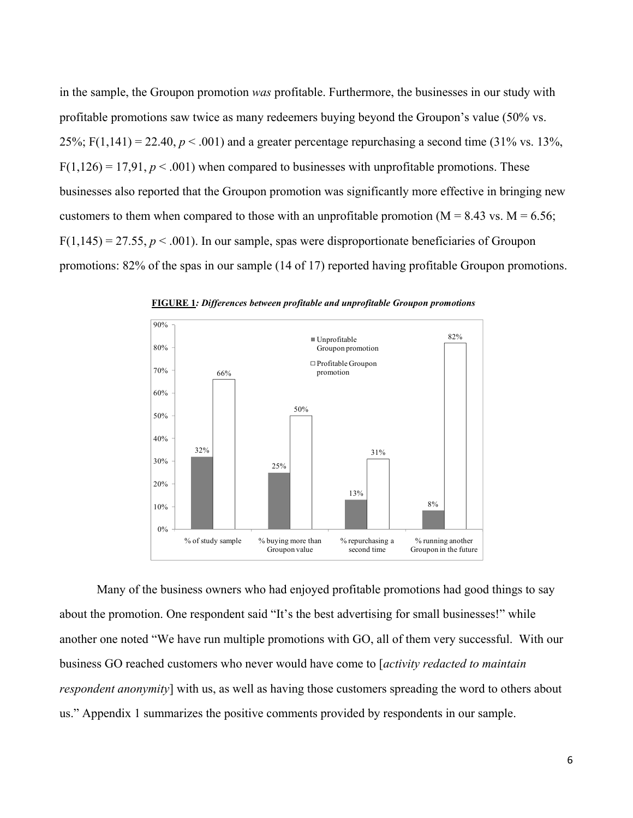in the sample, the Groupon promotion *was* profitable. Furthermore, the businesses in our study with profitable promotions saw twice as many redeemers buying beyond the Groupon's value (50% vs. 25%; F(1,141) = 22.40,  $p < .001$ ) and a greater percentage repurchasing a second time (31% vs. 13%,  $F(1,126) = 17.91, p < .001$  when compared to businesses with unprofitable promotions. These businesses also reported that the Groupon promotion was significantly more effective in bringing new customers to them when compared to those with an unprofitable promotion ( $M = 8.43$  vs.  $M = 6.56$ ;  $F(1,145) = 27.55$ ,  $p < .001$ ). In our sample, spas were disproportionate beneficiaries of Groupon promotions: 82% of the spas in our sample (14 of 17) reported having profitable Groupon promotions.



**FIGURE 1***: Differences between profitable and unprofitable Groupon promotions* 

Many of the business owners who had enjoyed profitable promotions had good things to say about the promotion. One respondent said "It's the best advertising for small businesses!" while another one noted "We have run multiple promotions with GO, all of them very successful. With our business GO reached customers who never would have come to [*activity redacted to maintain respondent anonymity*] with us, as well as having those customers spreading the word to others about us." Appendix 1 summarizes the positive comments provided by respondents in our sample.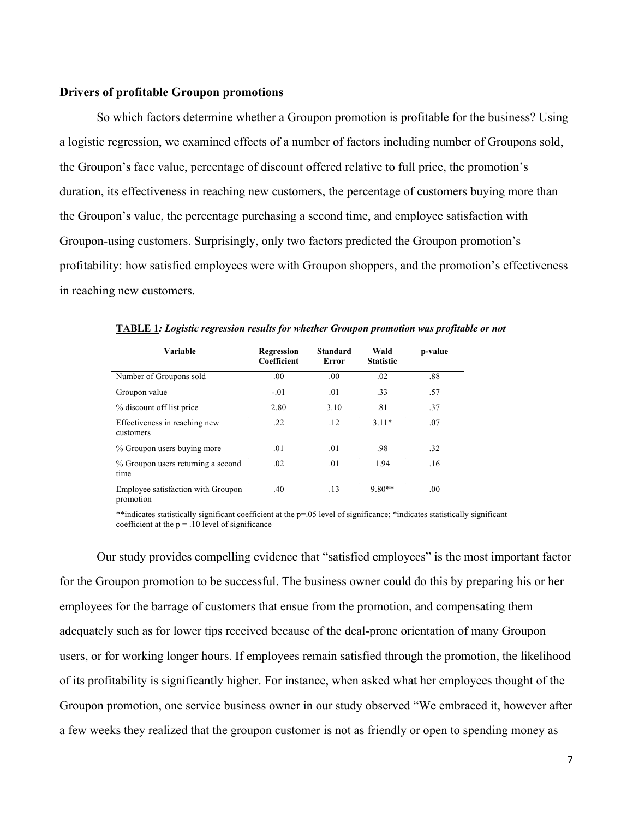### **Drivers of profitable Groupon promotions**

So which factors determine whether a Groupon promotion is profitable for the business? Using a logistic regression, we examined effects of a number of factors including number of Groupons sold, the Groupon's face value, percentage of discount offered relative to full price, the promotion's duration, its effectiveness in reaching new customers, the percentage of customers buying more than the Groupon's value, the percentage purchasing a second time, and employee satisfaction with Groupon-using customers. Surprisingly, only two factors predicted the Groupon promotion's profitability: how satisfied employees were with Groupon shoppers, and the promotion's effectiveness in reaching new customers.

| Variable                                        | <b>Regression</b><br>Coefficient | <b>Standard</b><br>Error | Wald<br><b>Statistic</b> | p-value |
|-------------------------------------------------|----------------------------------|--------------------------|--------------------------|---------|
| Number of Groupons sold                         | .00.                             | .00.                     | .02                      | .88     |
| Groupon value                                   | $-.01$                           | .01                      | .33                      | .57     |
| % discount off list price                       | 2.80                             | 3.10                     | .81                      | 37      |
| Effectiveness in reaching new<br>customers      | .22                              | .12                      | $3.11*$                  | .07     |
| % Groupon users buying more                     | .01                              | .01                      | .98                      | .32     |
| % Groupon users returning a second<br>time      | .02                              | .01                      | 1.94                     | .16     |
| Employee satisfaction with Groupon<br>promotion | .40                              | .13                      | $9.80**$                 | .00.    |

**TABLE 1***: Logistic regression results for whether Groupon promotion was profitable or not* 

\*\*indicates statistically significant coefficient at the p=.05 level of significance; \*indicates statistically significant coefficient at the  $p = .10$  level of significance

Our study provides compelling evidence that "satisfied employees" is the most important factor for the Groupon promotion to be successful. The business owner could do this by preparing his or her employees for the barrage of customers that ensue from the promotion, and compensating them adequately such as for lower tips received because of the deal-prone orientation of many Groupon users, or for working longer hours. If employees remain satisfied through the promotion, the likelihood of its profitability is significantly higher. For instance, when asked what her employees thought of the Groupon promotion, one service business owner in our study observed "We embraced it, however after a few weeks they realized that the groupon customer is not as friendly or open to spending money as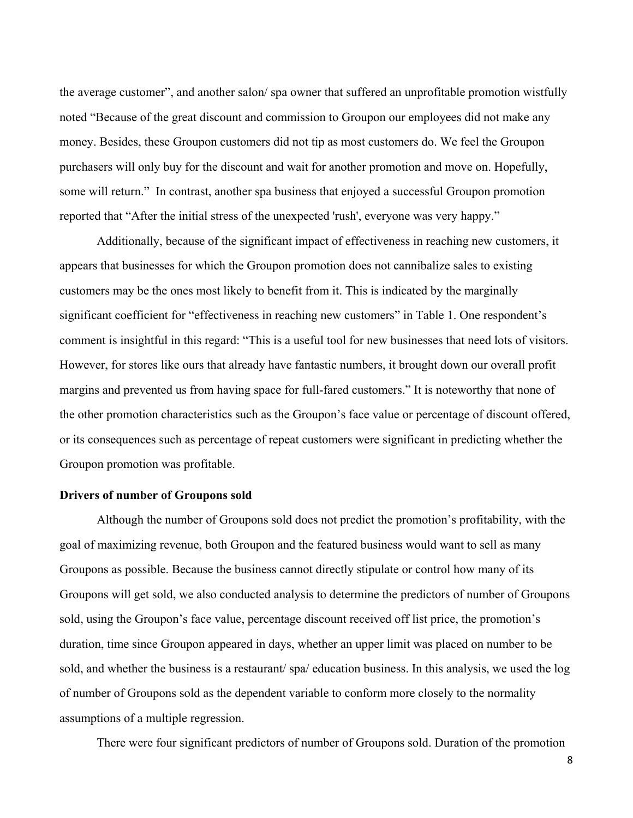the average customer", and another salon/ spa owner that suffered an unprofitable promotion wistfully noted "Because of the great discount and commission to Groupon our employees did not make any money. Besides, these Groupon customers did not tip as most customers do. We feel the Groupon purchasers will only buy for the discount and wait for another promotion and move on. Hopefully, some will return." In contrast, another spa business that enjoyed a successful Groupon promotion reported that "After the initial stress of the unexpected 'rush', everyone was very happy."

Additionally, because of the significant impact of effectiveness in reaching new customers, it appears that businesses for which the Groupon promotion does not cannibalize sales to existing customers may be the ones most likely to benefit from it. This is indicated by the marginally significant coefficient for "effectiveness in reaching new customers" in Table 1. One respondent's comment is insightful in this regard: "This is a useful tool for new businesses that need lots of visitors. However, for stores like ours that already have fantastic numbers, it brought down our overall profit margins and prevented us from having space for full-fared customers." It is noteworthy that none of the other promotion characteristics such as the Groupon's face value or percentage of discount offered, or its consequences such as percentage of repeat customers were significant in predicting whether the Groupon promotion was profitable.

#### **Drivers of number of Groupons sold**

Although the number of Groupons sold does not predict the promotion's profitability, with the goal of maximizing revenue, both Groupon and the featured business would want to sell as many Groupons as possible. Because the business cannot directly stipulate or control how many of its Groupons will get sold, we also conducted analysis to determine the predictors of number of Groupons sold, using the Groupon's face value, percentage discount received off list price, the promotion's duration, time since Groupon appeared in days, whether an upper limit was placed on number to be sold, and whether the business is a restaurant/ spa/ education business. In this analysis, we used the log of number of Groupons sold as the dependent variable to conform more closely to the normality assumptions of a multiple regression.

There were four significant predictors of number of Groupons sold. Duration of the promotion

8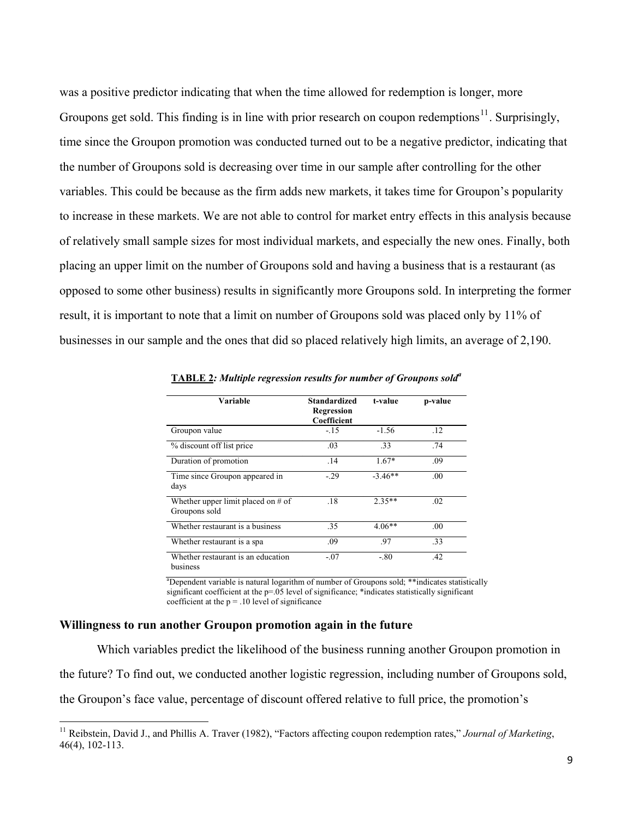was a positive predictor indicating that when the time allowed for redemption is longer, more Groupons get sold. This finding is in line with prior research on coupon redemptions<sup>[11](#page-8-0)</sup>. Surprisingly, time since the Groupon promotion was conducted turned out to be a negative predictor, indicating that the number of Groupons sold is decreasing over time in our sample after controlling for the other variables. This could be because as the firm adds new markets, it takes time for Groupon's popularity to increase in these markets. We are not able to control for market entry effects in this analysis because of relatively small sample sizes for most individual markets, and especially the new ones. Finally, both placing an upper limit on the number of Groupons sold and having a business that is a restaurant (as opposed to some other business) results in significantly more Groupons sold. In interpreting the former result, it is important to note that a limit on number of Groupons sold was placed only by 11% of businesses in our sample and the ones that did so placed relatively high limits, an average of 2,190.

| Variable                                              | Standardized<br><b>Regression</b><br>Coefficient | t-value   | p-value |  |
|-------------------------------------------------------|--------------------------------------------------|-----------|---------|--|
| Groupon value                                         | $-15$                                            | $-1.56$   | .12     |  |
| % discount off list price                             | .03                                              | .33       | .74     |  |
| Duration of promotion                                 | .14                                              | $1.67*$   | .09     |  |
| Time since Groupon appeared in<br>days                | $-29$                                            | $-3.46**$ | .00.    |  |
| Whether upper limit placed on $#$ of<br>Groupons sold | .18                                              | $2.35**$  | .02     |  |
| Whether restaurant is a business                      | .35                                              | $4.06**$  | .00     |  |
| Whether restaurant is a spa                           | .09                                              | .97       | .33     |  |
| Whether restaurant is an education<br>business        | $-.07$                                           | $-.80$    | .42     |  |

**TABLE 2***: Multiple regression results for number of Groupons solda*

<sup>a</sup>Dependent variable is natural logarithm of number of Groupons sold; \*\*indicates statistically significant coefficient at the  $p=0.05$  level of significance; \*indicates statistically significant coefficient at the  $p = .10$  level of significance

## **Willingness to run another Groupon promotion again in the future**

Which variables predict the likelihood of the business running another Groupon promotion in the future? To find out, we conducted another logistic regression, including number of Groupons sold, the Groupon's face value, percentage of discount offered relative to full price, the promotion's

<span id="page-8-0"></span><sup>&</sup>lt;sup>11</sup> Reibstein, David J., and Phillis A. Traver (1982), "Factors affecting coupon redemption rates," *Journal of Marketing*, 46(4), 102-113.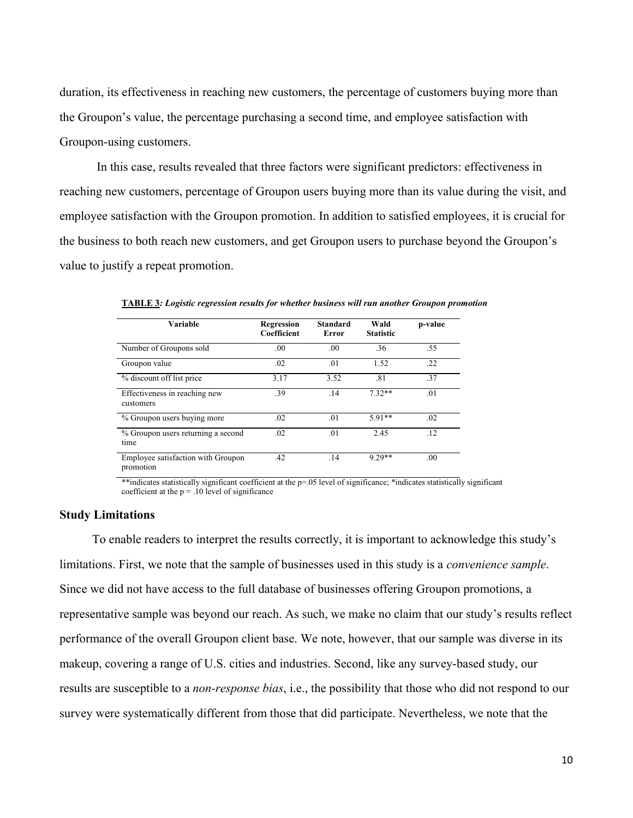duration, its effectiveness in reaching new customers, the percentage of customers buying more than the Groupon's value, the percentage purchasing a second time, and employee satisfaction with Groupon-using customers.

In this case, results revealed that three factors were significant predictors: effectiveness in reaching new customers, percentage of Groupon users buying more than its value during the visit, and employee satisfaction with the Groupon promotion. In addition to satisfied employees, it is crucial for the business to both reach new customers, and get Groupon users to purchase beyond the Groupon's value to justify a repeat promotion.

| Variable                                        | <b>Regression</b><br>Coefficient | <b>Standard</b><br>Error | Wald<br><b>Statistic</b> | p-value |
|-------------------------------------------------|----------------------------------|--------------------------|--------------------------|---------|
| Number of Groupons sold                         | .00.                             | .00                      | .36                      | .55     |
| Groupon value                                   | .02                              | .01                      | 1.52                     | .22     |
| % discount off list price                       | 3.17                             | 3.52                     | .81                      | 37      |
| Effectiveness in reaching new<br>customers      | .39                              | .14                      | $7.32**$                 | .01     |
| % Groupon users buying more                     | .02                              | .01                      | $5.91**$                 | .02     |
| % Groupon users returning a second<br>time      | .02                              | .01                      | 2.45                     | .12     |
| Employee satisfaction with Groupon<br>promotion | .42                              | .14                      | $9.29**$                 | .00     |

**TABLE 3***: Logistic regression results for whether business will run another Groupon promotion* 

\*\*indicates statistically significant coefficient at the p=.05 level of significance; \*indicates statistically significant coefficient at the  $p = .10$  level of significance

#### **Study Limitations**

To enable readers to interpret the results correctly, it is important to acknowledge this study's limitations. First, we note that the sample of businesses used in this study is a *convenience sample*. Since we did not have access to the full database of businesses offering Groupon promotions, a representative sample was beyond our reach. As such, we make no claim that our study's results reflect performance of the overall Groupon client base. We note, however, that our sample was diverse in its makeup, covering a range of U.S. cities and industries. Second, like any survey-based study, our results are susceptible to a *non-response bias*, i.e., the possibility that those who did not respond to our survey were systematically different from those that did participate. Nevertheless, we note that the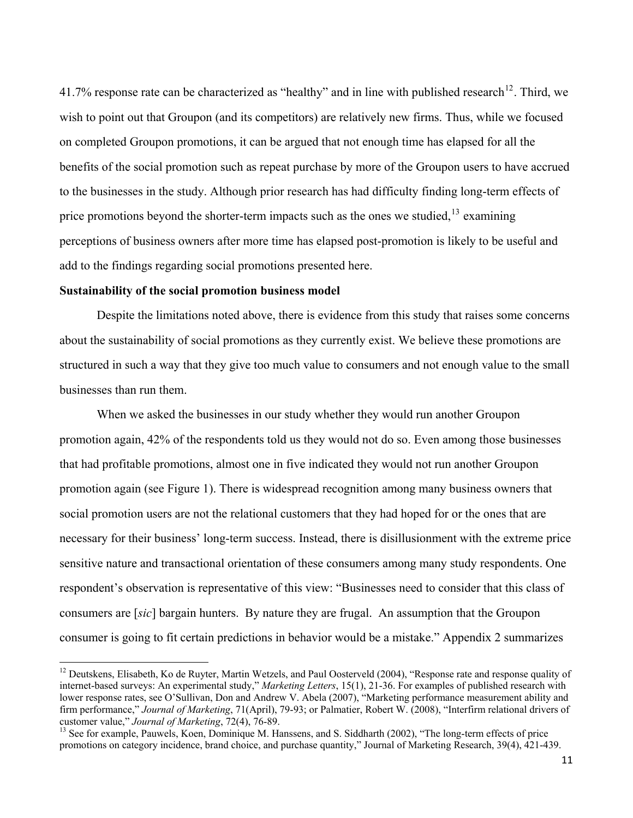41.7% response rate can be characterized as "healthy" and in line with published research<sup>[12](#page-10-0)</sup>. Third, we wish to point out that Groupon (and its competitors) are relatively new firms. Thus, while we focused on completed Groupon promotions, it can be argued that not enough time has elapsed for all the benefits of the social promotion such as repeat purchase by more of the Groupon users to have accrued to the businesses in the study. Although prior research has had difficulty finding long-term effects of price promotions beyond the shorter-term impacts such as the ones we studied,  $13$  examining perceptions of business owners after more time has elapsed post-promotion is likely to be useful and add to the findings regarding social promotions presented here.

## **Sustainability of the social promotion business model**

Despite the limitations noted above, there is evidence from this study that raises some concerns about the sustainability of social promotions as they currently exist. We believe these promotions are structured in such a way that they give too much value to consumers and not enough value to the small businesses than run them.

When we asked the businesses in our study whether they would run another Groupon promotion again, 42% of the respondents told us they would not do so. Even among those businesses that had profitable promotions, almost one in five indicated they would not run another Groupon promotion again (see Figure 1). There is widespread recognition among many business owners that social promotion users are not the relational customers that they had hoped for or the ones that are necessary for their business' long-term success. Instead, there is disillusionment with the extreme price sensitive nature and transactional orientation of these consumers among many study respondents. One respondent's observation is representative of this view: "Businesses need to consider that this class of consumers are [*sic*] bargain hunters. By nature they are frugal. An assumption that the Groupon consumer is going to fit certain predictions in behavior would be a mistake." Appendix 2 summarizes

<span id="page-10-0"></span><sup>&</sup>lt;sup>12</sup> Deutskens, Elisabeth, Ko de Ruyter, Martin Wetzels, and Paul Oosterveld (2004), "Response rate and response quality of internet-based surveys: An experimental study," *Marketing Letters*, 15(1), 21-36. For examples of published research with lower response rates, see O'Sullivan, Don and Andrew V. Abela (2007), "Marketing performance measurement ability and firm performance," *Journal of Marketing*, 71(April), 79-93; or Palmatier, Robert W. (2008), "Interfirm relational drivers of

<span id="page-10-1"></span><sup>&</sup>lt;sup>13</sup> See for example, Pauwels, Koen, Dominique M. Hanssens, and S. Siddharth (2002), "The long-term effects of price promotions on category incidence, brand choice, and purchase quantity," Journal of Marketing Research, 39(4), 421-439.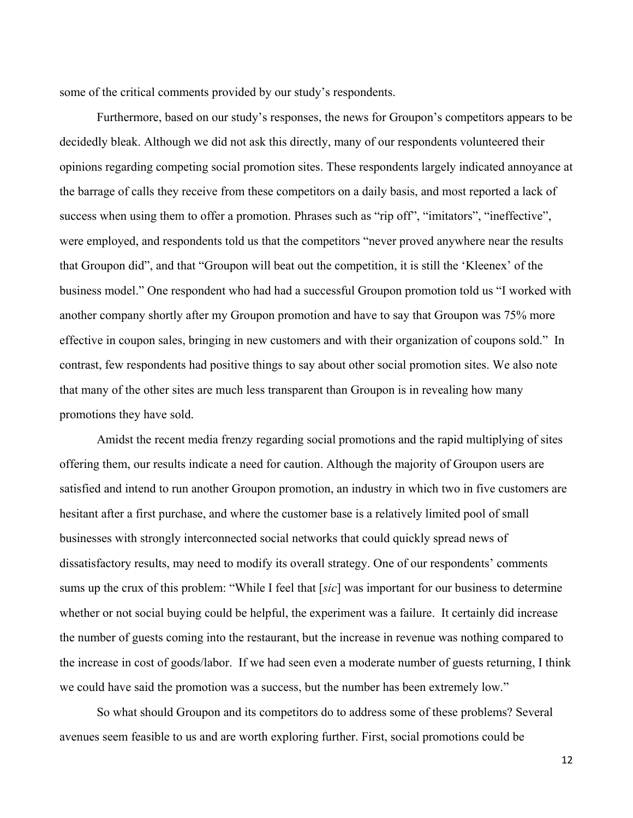some of the critical comments provided by our study's respondents.

Furthermore, based on our study's responses, the news for Groupon's competitors appears to be decidedly bleak. Although we did not ask this directly, many of our respondents volunteered their opinions regarding competing social promotion sites. These respondents largely indicated annoyance at the barrage of calls they receive from these competitors on a daily basis, and most reported a lack of success when using them to offer a promotion. Phrases such as "rip off", "imitators", "ineffective", were employed, and respondents told us that the competitors "never proved anywhere near the results that Groupon did", and that "Groupon will beat out the competition, it is still the 'Kleenex' of the business model." One respondent who had had a successful Groupon promotion told us "I worked with another company shortly after my Groupon promotion and have to say that Groupon was 75% more effective in coupon sales, bringing in new customers and with their organization of coupons sold." In contrast, few respondents had positive things to say about other social promotion sites. We also note that many of the other sites are much less transparent than Groupon is in revealing how many promotions they have sold.

Amidst the recent media frenzy regarding social promotions and the rapid multiplying of sites offering them, our results indicate a need for caution. Although the majority of Groupon users are satisfied and intend to run another Groupon promotion, an industry in which two in five customers are hesitant after a first purchase, and where the customer base is a relatively limited pool of small businesses with strongly interconnected social networks that could quickly spread news of dissatisfactory results, may need to modify its overall strategy. One of our respondents' comments sums up the crux of this problem: "While I feel that [*sic*] was important for our business to determine whether or not social buying could be helpful, the experiment was a failure. It certainly did increase the number of guests coming into the restaurant, but the increase in revenue was nothing compared to the increase in cost of goods/labor. If we had seen even a moderate number of guests returning, I think we could have said the promotion was a success, but the number has been extremely low."

So what should Groupon and its competitors do to address some of these problems? Several avenues seem feasible to us and are worth exploring further. First, social promotions could be

12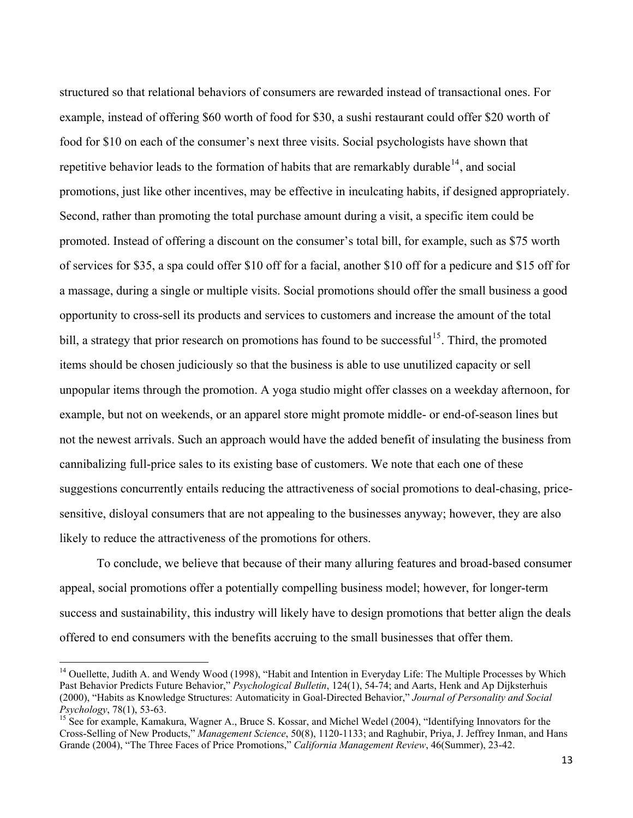structured so that relational behaviors of consumers are rewarded instead of transactional ones. For example, instead of offering \$60 worth of food for \$30, a sushi restaurant could offer \$20 worth of food for \$10 on each of the consumer's next three visits. Social psychologists have shown that repetitive behavior leads to the formation of habits that are remarkably durable  $14$ , and social promotions, just like other incentives, may be effective in inculcating habits, if designed appropriately. Second, rather than promoting the total purchase amount during a visit, a specific item could be promoted. Instead of offering a discount on the consumer's total bill, for example, such as \$75 worth of services for \$35, a spa could offer \$10 off for a facial, another \$10 off for a pedicure and \$15 off for a massage, during a single or multiple visits. Social promotions should offer the small business a good opportunity to cross-sell its products and services to customers and increase the amount of the total bill, a strategy that prior research on promotions has found to be successful<sup>[15](#page-12-1)</sup>. Third, the promoted items should be chosen judiciously so that the business is able to use unutilized capacity or sell unpopular items through the promotion. A yoga studio might offer classes on a weekday afternoon, for example, but not on weekends, or an apparel store might promote middle- or end-of-season lines but not the newest arrivals. Such an approach would have the added benefit of insulating the business from cannibalizing full-price sales to its existing base of customers. We note that each one of these suggestions concurrently entails reducing the attractiveness of social promotions to deal-chasing, pricesensitive, disloyal consumers that are not appealing to the businesses anyway; however, they are also likely to reduce the attractiveness of the promotions for others.

To conclude, we believe that because of their many alluring features and broad-based consumer appeal, social promotions offer a potentially compelling business model; however, for longer-term success and sustainability, this industry will likely have to design promotions that better align the deals offered to end consumers with the benefits accruing to the small businesses that offer them.

<span id="page-12-0"></span><sup>&</sup>lt;sup>14</sup> Ouellette, Judith A. and Wendy Wood (1998), "Habit and Intention in Everyday Life: The Multiple Processes by Which Past Behavior Predicts Future Behavior," *Psychological Bulletin*, 124(1), 54-74; and Aarts, Henk and Ap Dijksterhuis (2000), "Habits as Knowledge Structures: Automaticity in Goal-Directed Behavior," *Journal of Personality and Social Psychology*, 78(1), 53-63.<br><sup>15</sup> See for example, Kamakura, Wagner A., Bruce S. Kossar, and Michel Wedel (2004), "Identifying Innovators for the

<span id="page-12-1"></span>Cross-Selling of New Products," *Management Science*, 50(8), 1120-1133; and Raghubir, Priya, J. Jeffrey Inman, and Hans Grande (2004), "The Three Faces of Price Promotions," *California Management Review*, 46(Summer), 23-42.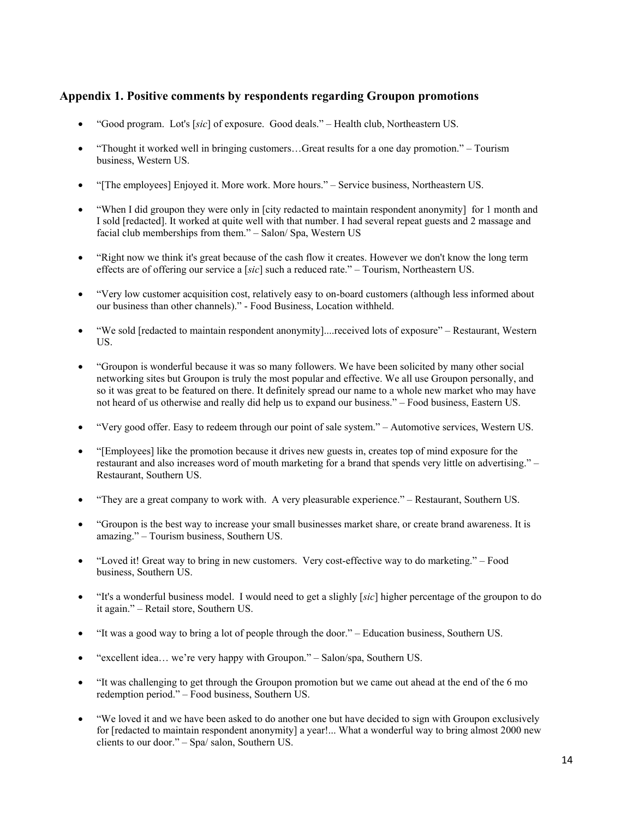# **Appendix 1. Positive comments by respondents regarding Groupon promotions**

- x "Good program. Lot's [*sic*] of exposure. Good deals." Health club, Northeastern US.
- "Thought it worked well in bringing customers...Great results for a one day promotion." Tourism business, Western US.
- x "[The employees] Enjoyed it. More work. More hours." Service business, Northeastern US.
- x "When I did groupon they were only in [city redacted to maintain respondent anonymity] for 1 month and I sold [redacted]. It worked at quite well with that number. I had several repeat guests and 2 massage and facial club memberships from them." – Salon/ Spa, Western US
- "Right now we think it's great because of the cash flow it creates. However we don't know the long term effects are of offering our service a [*sic*] such a reduced rate." – Tourism, Northeastern US.
- "Very low customer acquisition cost, relatively easy to on-board customers (although less informed about our business than other channels)." - Food Business, Location withheld.
- "We sold [redacted to maintain respondent anonymity]....received lots of exposure" Restaurant, Western US.
- "Groupon is wonderful because it was so many followers. We have been solicited by many other social networking sites but Groupon is truly the most popular and effective. We all use Groupon personally, and so it was great to be featured on there. It definitely spread our name to a whole new market who may have not heard of us otherwise and really did help us to expand our business." – Food business, Eastern US.
- x "Very good offer. Easy to redeem through our point of sale system." Automotive services, Western US.
- "[Employees] like the promotion because it drives new guests in, creates top of mind exposure for the restaurant and also increases word of mouth marketing for a brand that spends very little on advertising." – Restaurant, Southern US.
- x "They are a great company to work with. A very pleasurable experience." Restaurant, Southern US.
- "Groupon is the best way to increase your small businesses market share, or create brand awareness. It is amazing." – Tourism business, Southern US.
- "Loved it! Great way to bring in new customers. Very cost-effective way to do marketing." Food business, Southern US.
- x "It's a wonderful business model. I would need to get a slighly [*sic*] higher percentage of the groupon to do it again." – Retail store, Southern US.
- x "It was a good way to bring a lot of people through the door." Education business, Southern US.
- "excellent idea... we're very happy with Groupon." Salon/spa, Southern US.
- x "It was challenging to get through the Groupon promotion but we came out ahead at the end of the 6 mo redemption period." – Food business, Southern US.
- "We loved it and we have been asked to do another one but have decided to sign with Groupon exclusively for [redacted to maintain respondent anonymity] a year!... What a wonderful way to bring almost 2000 new clients to our door." – Spa/ salon, Southern US.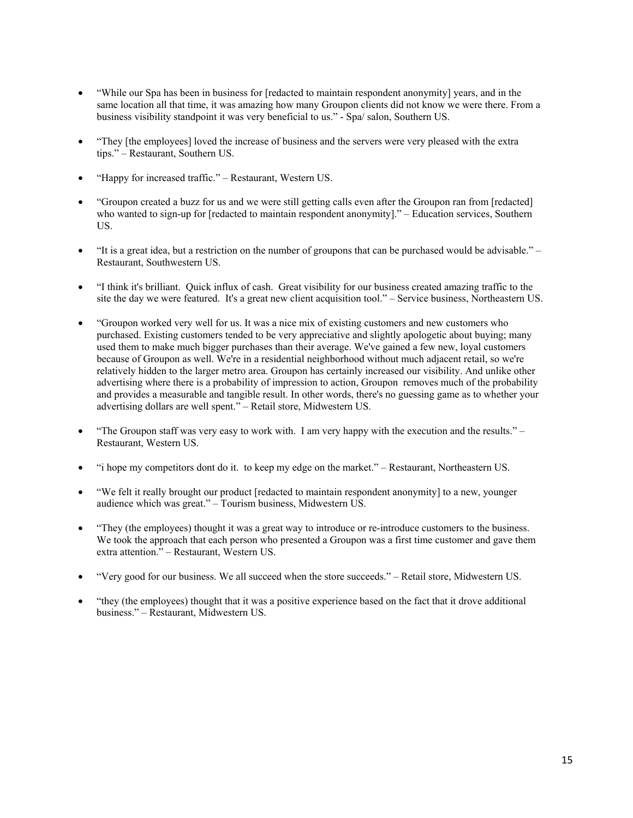- "While our Spa has been in business for [redacted to maintain respondent anonymity] years, and in the same location all that time, it was amazing how many Groupon clients did not know we were there. From a business visibility standpoint it was very beneficial to us." - Spa/ salon, Southern US.
- x "They [the employees] loved the increase of business and the servers were very pleased with the extra tips." – Restaurant, Southern US.
- "Happy for increased traffic." Restaurant, Western US.
- "Groupon created a buzz for us and we were still getting calls even after the Groupon ran from [redacted] who wanted to sign-up for [redacted to maintain respondent anonymity]." – Education services, Southern US.
- "It is a great idea, but a restriction on the number of groupons that can be purchased would be advisable." Restaurant, Southwestern US.
- "I think it's brilliant. Quick influx of cash. Great visibility for our business created amazing traffic to the site the day we were featured. It's a great new client acquisition tool." – Service business, Northeastern US.
- "Groupon worked very well for us. It was a nice mix of existing customers and new customers who purchased. Existing customers tended to be very appreciative and slightly apologetic about buying; many used them to make much bigger purchases than their average. We've gained a few new, loyal customers because of Groupon as well. We're in a residential neighborhood without much adjacent retail, so we're relatively hidden to the larger metro area. Groupon has certainly increased our visibility. And unlike other advertising where there is a probability of impression to action, Groupon removes much of the probability and provides a measurable and tangible result. In other words, there's no guessing game as to whether your advertising dollars are well spent." – Retail store, Midwestern US.
- "The Groupon staff was very easy to work with. I am very happy with the execution and the results." Restaurant, Western US.
- "i hope my competitors dont do it. to keep my edge on the market." Restaurant, Northeastern US.
- "We felt it really brought our product [redacted to maintain respondent anonymity] to a new, younger audience which was great." – Tourism business, Midwestern US.
- "They (the employees) thought it was a great way to introduce or re-introduce customers to the business. We took the approach that each person who presented a Groupon was a first time customer and gave them extra attention." – Restaurant, Western US.
- x "Very good for our business. We all succeed when the store succeeds." Retail store, Midwestern US.
- x "they (the employees) thought that it was a positive experience based on the fact that it drove additional business." – Restaurant, Midwestern US.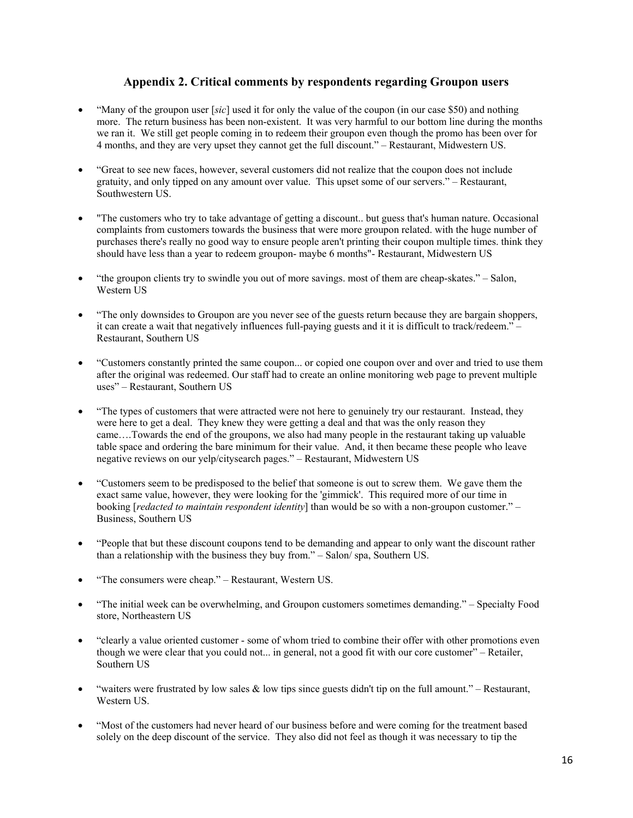# **Appendix 2. Critical comments by respondents regarding Groupon users**

- "Many of the groupon user [*sic*] used it for only the value of the coupon (in our case \$50) and nothing more. The return business has been non-existent. It was very harmful to our bottom line during the months we ran it. We still get people coming in to redeem their groupon even though the promo has been over for 4 months, and they are very upset they cannot get the full discount." – Restaurant, Midwestern US.
- x "Great to see new faces, however, several customers did not realize that the coupon does not include gratuity, and only tipped on any amount over value. This upset some of our servers." – Restaurant, Southwestern US.
- x "The customers who try to take advantage of getting a discount.. but guess that's human nature. Occasional complaints from customers towards the business that were more groupon related. with the huge number of purchases there's really no good way to ensure people aren't printing their coupon multiple times. think they should have less than a year to redeem groupon- maybe 6 months"- Restaurant, Midwestern US
- "the groupon clients try to swindle you out of more savings. most of them are cheap-skates." Salon, Western US
- "The only downsides to Groupon are you never see of the guests return because they are bargain shoppers, it can create a wait that negatively influences full-paying guests and it it is difficult to track/redeem." – Restaurant, Southern US
- "Customers constantly printed the same coupon... or copied one coupon over and over and tried to use them after the original was redeemed. Our staff had to create an online monitoring web page to prevent multiple uses" – Restaurant, Southern US
- "The types of customers that were attracted were not here to genuinely try our restaurant. Instead, they were here to get a deal. They knew they were getting a deal and that was the only reason they came….Towards the end of the groupons, we also had many people in the restaurant taking up valuable table space and ordering the bare minimum for their value. And, it then became these people who leave negative reviews on our yelp/citysearch pages." – Restaurant, Midwestern US
- "Customers seem to be predisposed to the belief that someone is out to screw them. We gave them the exact same value, however, they were looking for the 'gimmick'. This required more of our time in booking [*redacted to maintain respondent identity*] than would be so with a non-groupon customer." – Business, Southern US
- "People that but these discount coupons tend to be demanding and appear to only want the discount rather than a relationship with the business they buy from." – Salon/ spa, Southern US.
- "The consumers were cheap." Restaurant, Western US.
- "The initial week can be overwhelming, and Groupon customers sometimes demanding." Specialty Food store, Northeastern US
- "clearly a value oriented customer some of whom tried to combine their offer with other promotions even though we were clear that you could not... in general, not a good fit with our core customer" – Retailer, Southern US
- "waiters were frustrated by low sales  $\&$  low tips since guests didn't tip on the full amount." Restaurant, Western US.
- "Most of the customers had never heard of our business before and were coming for the treatment based solely on the deep discount of the service. They also did not feel as though it was necessary to tip the